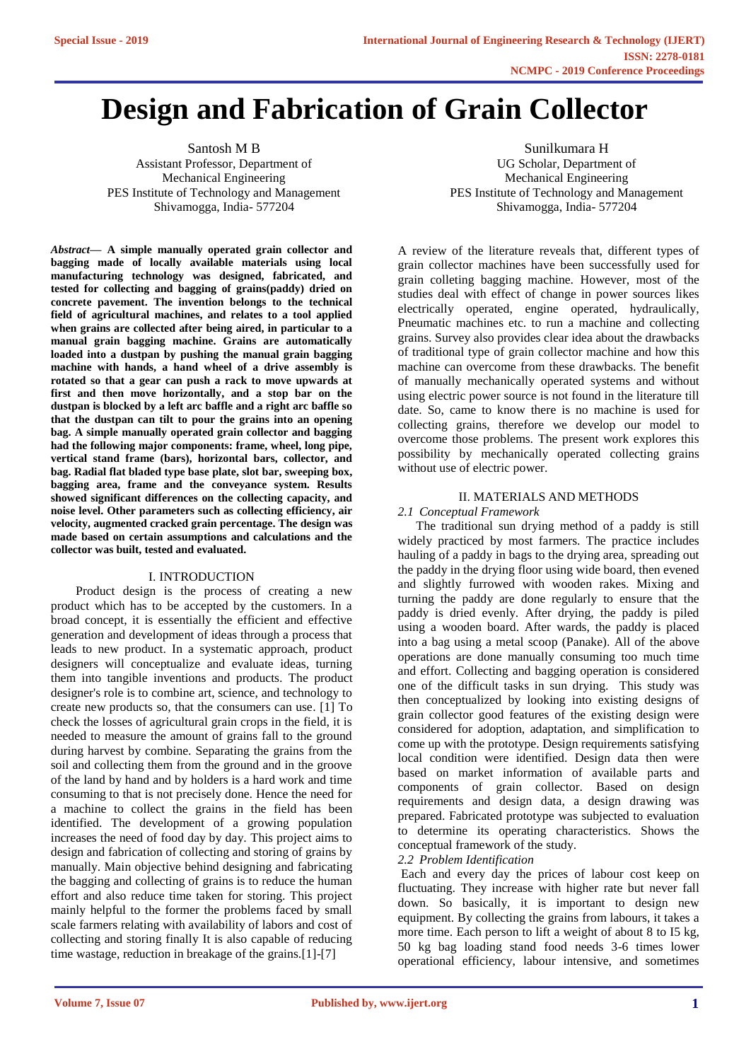# **Design and Fabrication of Grain Collector**

Santosh M B Assistant Professor, Department of Mechanical Engineering PES Institute of Technology and Management Shivamogga, India- 577204

*Abstract***— A simple manually operated grain collector and bagging made of locally available materials using local manufacturing technology was designed, fabricated, and tested for collecting and bagging of grains(paddy) dried on concrete pavement. The invention belongs to the technical field of agricultural machines, and relates to a tool applied when grains are collected after being aired, in particular to a manual grain bagging machine. Grains are automatically loaded into a dustpan by pushing the manual grain bagging machine with hands, a hand wheel of a drive assembly is rotated so that a gear can push a rack to move upwards at first and then move horizontally, and a stop bar on the dustpan is blocked by a left arc baffle and a right arc baffle so that the dustpan can tilt to pour the grains into an opening bag. A simple manually operated grain collector and bagging had the following major components: frame, wheel, long pipe, vertical stand frame (bars), horizontal bars, collector, and bag. Radial flat bladed type base plate, slot bar, sweeping box, bagging area, frame and the conveyance system. Results showed significant differences on the collecting capacity, and noise level. Other parameters such as collecting efficiency, air velocity, augmented cracked grain percentage. The design was made based on certain assumptions and calculations and the collector was built, tested and evaluated.**

# I. INTRODUCTION

Product design is the process of creating a new product which has to be accepted by the customers. In a broad concept, it is essentially the efficient and effective generation and development of ideas through a process that leads to new product. In a systematic approach, product designers will conceptualize and evaluate ideas, turning them into tangible inventions and products. The product designer's role is to combine art, science, and technology to create new products so, that the consumers can use. [1] To check the losses of agricultural grain crops in the field, it is needed to measure the amount of grains fall to the ground during harvest by combine. Separating the grains from the soil and collecting them from the ground and in the groove of the land by hand and by holders is a hard work and time consuming to that is not precisely done. Hence the need for a machine to collect the grains in the field has been identified. The development of a growing population increases the need of food day by day. This project aims to design and fabrication of collecting and storing of grains by manually. Main objective behind designing and fabricating the bagging and collecting of grains is to reduce the human effort and also reduce time taken for storing. This project mainly helpful to the former the problems faced by small scale farmers relating with availability of labors and cost of collecting and storing finally It is also capable of reducing time wastage, reduction in breakage of the grains.[1]-[7]

Sunilkumara H UG Scholar, Department of Mechanical Engineering PES Institute of Technology and Management Shivamogga, India- 577204

A review of the literature reveals that, different types of grain collector machines have been successfully used for grain colleting bagging machine. However, most of the studies deal with effect of change in power sources likes electrically operated, engine operated, hydraulically, Pneumatic machines etc. to run a machine and collecting grains. Survey also provides clear idea about the drawbacks of traditional type of grain collector machine and how this machine can overcome from these drawbacks. The benefit of manually mechanically operated systems and without using electric power source is not found in the literature till date. So, came to know there is no machine is used for collecting grains, therefore we develop our model to overcome those problems. The present work explores this possibility by mechanically operated collecting grains without use of electric power.

#### II. MATERIALS AND METHODS

*2.1 Conceptual Framework*

The traditional sun drying method of a paddy is still widely practiced by most farmers. The practice includes hauling of a paddy in bags to the drying area, spreading out the paddy in the drying floor using wide board, then evened and slightly furrowed with wooden rakes. Mixing and turning the paddy are done regularly to ensure that the paddy is dried evenly. After drying, the paddy is piled using a wooden board. After wards, the paddy is placed into a bag using a metal scoop (Panake). All of the above operations are done manually consuming too much time and effort. Collecting and bagging operation is considered one of the difficult tasks in sun drying. This study was then conceptualized by looking into existing designs of grain collector good features of the existing design were considered for adoption, adaptation, and simplification to come up with the prototype. Design requirements satisfying local condition were identified. Design data then were based on market information of available parts and components of grain collector. Based on design requirements and design data, a design drawing was prepared. Fabricated prototype was subjected to evaluation to determine its operating characteristics. Shows the conceptual framework of the study.

*2.2 Problem Identification*

Each and every day the prices of labour cost keep on fluctuating. They increase with higher rate but never fall down. So basically, it is important to design new equipment. By collecting the grains from labours, it takes a more time. Each person to lift a weight of about 8 to I5 kg, 50 kg bag loading stand food needs 3-6 times lower operational efficiency, labour intensive, and sometimes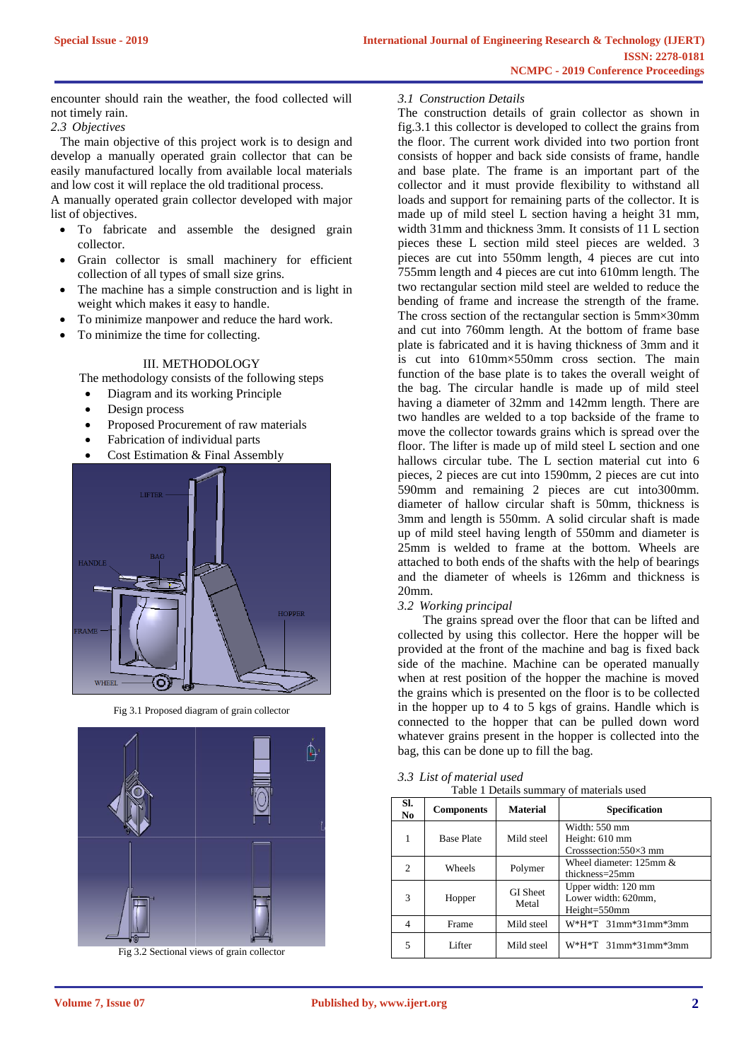encounter should rain the weather, the food collected will not timely rain.

*2.3 Objectives*

The main objective of this project work is to design and develop a manually operated grain collector that can be easily manufactured locally from available local materials and low cost it will replace the old traditional process.

A manually operated grain collector developed with major list of objectives.

- To fabricate and assemble the designed grain collector.
- Grain collector is small machinery for efficient collection of all types of small size grins.
- The machine has a simple construction and is light in weight which makes it easy to handle.
- To minimize manpower and reduce the hard work.
- To minimize the time for collecting.

# III. METHODOLOGY

The methodology consists of the following steps

- Diagram and its working Principle
- Design process
- Proposed Procurement of raw materials
- Fabrication of individual parts
- Cost Estimation & Final Assembly



Fig 3.1 Proposed diagram of grain collector



Fig 3.2 Sectional views of grain collector

# *3.1 Construction Details*

The construction details of grain collector as shown in fig.3.1 this collector is developed to collect the grains from the floor. The current work divided into two portion front consists of hopper and back side consists of frame, handle and base plate. The frame is an important part of the collector and it must provide flexibility to withstand all loads and support for remaining parts of the collector. It is made up of mild steel L section having a height 31 mm, width 31mm and thickness 3mm. It consists of 11 L section pieces these L section mild steel pieces are welded. 3 pieces are cut into 550mm length, 4 pieces are cut into 755mm length and 4 pieces are cut into 610mm length. The two rectangular section mild steel are welded to reduce the bending of frame and increase the strength of the frame. The cross section of the rectangular section is 5mm×30mm and cut into 760mm length. At the bottom of frame base plate is fabricated and it is having thickness of 3mm and it is cut into 610mm×550mm cross section. The main function of the base plate is to takes the overall weight of the bag. The circular handle is made up of mild steel having a diameter of 32mm and 142mm length. There are two handles are welded to a top backside of the frame to move the collector towards grains which is spread over the floor. The lifter is made up of mild steel L section and one hallows circular tube. The L section material cut into 6 pieces, 2 pieces are cut into 1590mm, 2 pieces are cut into 590mm and remaining 2 pieces are cut into300mm. diameter of hallow circular shaft is 50mm, thickness is 3mm and length is 550mm. A solid circular shaft is made up of mild steel having length of 550mm and diameter is 25mm is welded to frame at the bottom. Wheels are attached to both ends of the shafts with the help of bearings and the diameter of wheels is 126mm and thickness is 20mm.

# *3.2 Working principal*

The grains spread over the floor that can be lifted and collected by using this collector. Here the hopper will be provided at the front of the machine and bag is fixed back side of the machine. Machine can be operated manually when at rest position of the hopper the machine is moved the grains which is presented on the floor is to be collected in the hopper up to 4 to 5 kgs of grains. Handle which is connected to the hopper that can be pulled down word whatever grains present in the hopper is collected into the bag, this can be done up to fill the bag.

|  |  | 3.3 List of material used |  |
|--|--|---------------------------|--|
|  |  |                           |  |

|                                | Table 1 Details summary of materials used |                          |                                                                  |  |  |  |
|--------------------------------|-------------------------------------------|--------------------------|------------------------------------------------------------------|--|--|--|
| SI.<br><b>Components</b><br>No |                                           | <b>Material</b>          | <b>Specification</b>                                             |  |  |  |
| 1                              | <b>Base Plate</b>                         | Mild steel               | Width: 550 mm<br>Height: 610 mm<br>Crosssection: $550\times3$ mm |  |  |  |
| 2                              | Wheels                                    | Polymer                  | Wheel diameter: $125$ mm $\&$<br>thickness=25mm                  |  |  |  |
| 3                              | Hopper                                    | <b>GI</b> Sheet<br>Metal | Upper width: 120 mm<br>Lower width: 620mm,<br>$Height=550$ mm    |  |  |  |
| 4                              | Frame                                     | Mild steel               | $W*H*T 31mm*31mm*3mm$                                            |  |  |  |
| 5                              | Lifter                                    | Mild steel               | $W*H*T31mm*31mm*3mm$                                             |  |  |  |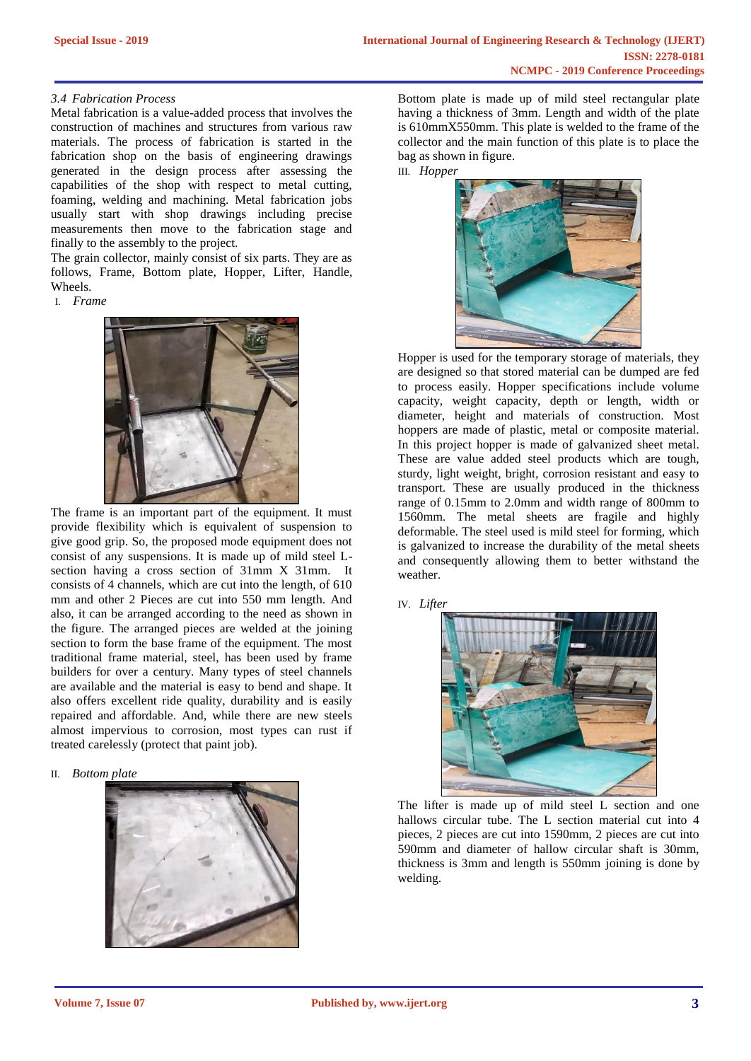#### *3.4 Fabrication Process*

Metal fabrication is a value-added process that involves the construction of machines and structures from various raw materials. The process of fabrication is started in the fabrication shop on the basis of engineering drawings generated in the design process after assessing the capabilities of the shop with respect to metal cutting, foaming, welding and machining. Metal fabrication jobs usually start with shop drawings including precise measurements then move to the fabrication stage and finally to the assembly to the project.

The grain collector, mainly consist of six parts. They are as follows, Frame, Bottom plate, Hopper, Lifter, Handle, Wheels.

# I. *Frame*



The frame is an important part of the equipment. It must provide flexibility which is equivalent of suspension to give good grip. So, the proposed mode equipment does not consist of any suspensions. It is made up of mild steel Lsection having a cross section of 31mm X 31mm. It consists of 4 channels, which are cut into the length, of 610 mm and other 2 Pieces are cut into 550 mm length. And also, it can be arranged according to the need as shown in the figure. The arranged pieces are welded at the joining section to form the base frame of the equipment. The most traditional frame material, steel, has been used by frame builders for over a century. Many types of steel channels are available and the material is easy to bend and shape. It also offers excellent ride quality, durability and is easily repaired and affordable. And, while there are new steels almost impervious to corrosion, most types can rust if treated carelessly (protect that paint job).

#### II. *Bottom plate*



Bottom plate is made up of mild steel rectangular plate having a thickness of 3mm. Length and width of the plate is 610mmX550mm. This plate is welded to the frame of the collector and the main function of this plate is to place the bag as shown in figure. III. *Hopper*



Hopper is used for the temporary storage of materials, they are designed so that stored material can be dumped are fed to process easily. Hopper specifications include volume capacity, weight capacity, depth or length, width or diameter, height and materials of construction. Most hoppers are made of plastic, metal or composite material. In this project hopper is made of galvanized sheet metal. These are value added steel products which are tough, sturdy, light weight, bright, corrosion resistant and easy to transport. These are usually produced in the thickness range of 0.15mm to 2.0mm and width range of 800mm to 1560mm. The metal sheets are fragile and highly deformable. The steel used is mild steel for forming, which is galvanized to increase the durability of the metal sheets and consequently allowing them to better withstand the weather.





The lifter is made up of mild steel L section and one hallows circular tube. The L section material cut into 4 pieces, 2 pieces are cut into 1590mm, 2 pieces are cut into 590mm and diameter of hallow circular shaft is 30mm, thickness is 3mm and length is 550mm joining is done by welding.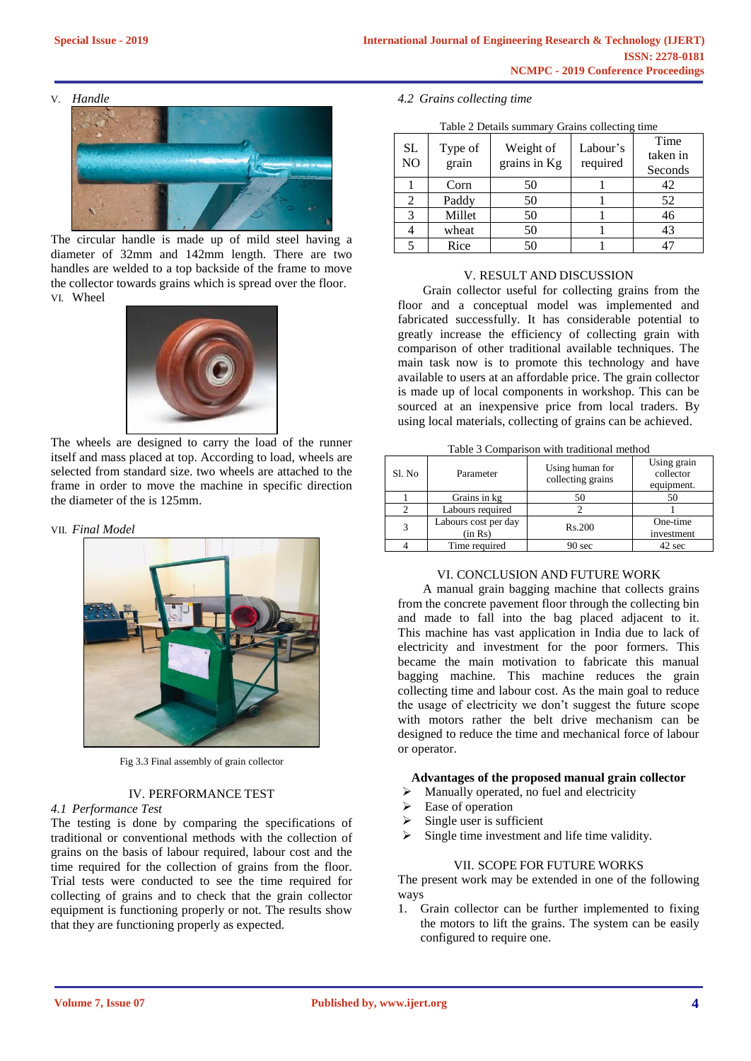V. *Handle*



The circular handle is made up of mild steel having a diameter of 32mm and 142mm length. There are two handles are welded to a top backside of the frame to move the collector towards grains which is spread over the floor. VI. Wheel



The wheels are designed to carry the load of the runner itself and mass placed at top. According to load, wheels are selected from standard size. two wheels are attached to the frame in order to move the machine in specific direction the diameter of the is 125mm.

#### VII. *Final Model*



Fig 3.3 Final assembly of grain collector

# IV. PERFORMANCE TEST

#### *4.1 Performance Test*

The testing is done by comparing the specifications of traditional or conventional methods with the collection of grains on the basis of labour required, labour cost and the time required for the collection of grains from the floor. Trial tests were conducted to see the time required for collecting of grains and to check that the grain collector equipment is functioning properly or not. The results show that they are functioning properly as expected.

|  |  | 4.2 Grains collecting time |  |
|--|--|----------------------------|--|
|--|--|----------------------------|--|

|  |  | Table 2 Details summary Grains collecting time |  |
|--|--|------------------------------------------------|--|

| SL<br>NO | Type of<br>grain | Weight of<br>grains in Kg | Labour's<br>required | Time<br>taken in<br>Seconds |
|----------|------------------|---------------------------|----------------------|-----------------------------|
|          | Corn             | 50                        |                      | 42                          |
| 2        | Paddy            | 50                        |                      | 52                          |
| 3        | Millet           | 50                        |                      | 46                          |
|          | wheat            | 50                        |                      | 43                          |
|          | Rice             | 50                        |                      |                             |

#### V. RESULT AND DISCUSSION

Grain collector useful for collecting grains from the floor and a conceptual model was implemented and fabricated successfully. It has considerable potential to greatly increase the efficiency of collecting grain with comparison of other traditional available techniques. The main task now is to promote this technology and have available to users at an affordable price. The grain collector is made up of local components in workshop. This can be sourced at an inexpensive price from local traders. By using local materials, collecting of grains can be achieved.

| Table 3 Comparison with traditional method |  |  |  |  |
|--------------------------------------------|--|--|--|--|
|--------------------------------------------|--|--|--|--|

| Sl. No | Parameter                       | Using human for<br>collecting grains | Using grain<br>collector<br>equipment. |
|--------|---------------------------------|--------------------------------------|----------------------------------------|
|        | Grains in kg                    | 50                                   |                                        |
|        | Labours required                |                                      |                                        |
|        | Labours cost per day<br>(in Rs) | Rs.200                               | One-time<br>investment                 |
|        | Time required                   | 90 sec                               | 42 sec                                 |

# VI. CONCLUSION AND FUTURE WORK

A manual grain bagging machine that collects grains from the concrete pavement floor through the collecting bin and made to fall into the bag placed adjacent to it. This machine has vast application in India due to lack of electricity and investment for the poor formers. This became the main motivation to fabricate this manual bagging machine. This machine reduces the grain collecting time and labour cost. As the main goal to reduce the usage of electricity we don't suggest the future scope with motors rather the belt drive mechanism can be designed to reduce the time and mechanical force of labour or operator.

#### **Advantages of the proposed manual grain collector**

- ➢ Manually operated, no fuel and electricity
- ➢ Ease of operation
- Single user is sufficient
- $\triangleright$  Single time investment and life time validity.

### VII. SCOPE FOR FUTURE WORKS

The present work may be extended in one of the following ways

1. Grain collector can be further implemented to fixing the motors to lift the grains. The system can be easily configured to require one.